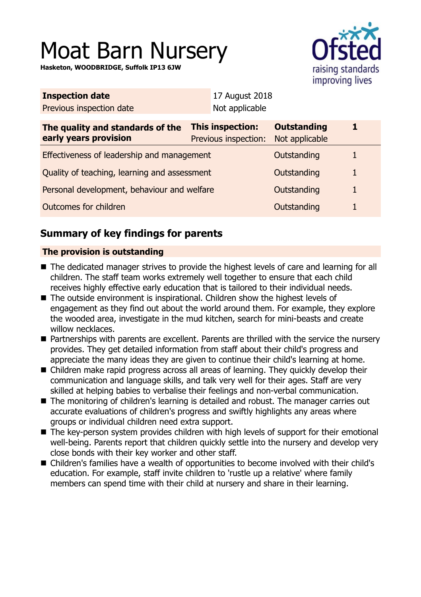# Moat Barn Nursery

**Hasketon, WOODBRIDGE, Suffolk IP13 6JW**



| <b>Inspection date</b>                                    |                                                 | 17 August 2018 |                                      |   |  |
|-----------------------------------------------------------|-------------------------------------------------|----------------|--------------------------------------|---|--|
| Previous inspection date                                  |                                                 | Not applicable |                                      |   |  |
| The quality and standards of the<br>early years provision | <b>This inspection:</b><br>Previous inspection: |                | <b>Outstanding</b><br>Not applicable | 1 |  |
| Effectiveness of leadership and management                |                                                 |                | Outstanding                          | 1 |  |
| Quality of teaching, learning and assessment              |                                                 |                | Outstanding                          | 1 |  |
| Personal development, behaviour and welfare               |                                                 |                | Outstanding                          | 1 |  |
| Outcomes for children                                     |                                                 |                | Outstanding                          | 1 |  |
|                                                           |                                                 |                |                                      |   |  |

# **Summary of key findings for parents**

## **The provision is outstanding**

- The dedicated manager strives to provide the highest levels of care and learning for all children. The staff team works extremely well together to ensure that each child receives highly effective early education that is tailored to their individual needs.
- $\blacksquare$  The outside environment is inspirational. Children show the highest levels of engagement as they find out about the world around them. For example, they explore the wooded area, investigate in the mud kitchen, search for mini-beasts and create willow necklaces.
- Partnerships with parents are excellent. Parents are thrilled with the service the nursery provides. They get detailed information from staff about their child's progress and appreciate the many ideas they are given to continue their child's learning at home.
- Children make rapid progress across all areas of learning. They quickly develop their communication and language skills, and talk very well for their ages. Staff are very skilled at helping babies to verbalise their feelings and non-verbal communication.
- The monitoring of children's learning is detailed and robust. The manager carries out accurate evaluations of children's progress and swiftly highlights any areas where groups or individual children need extra support.
- The key-person system provides children with high levels of support for their emotional well-being. Parents report that children quickly settle into the nursery and develop very close bonds with their key worker and other staff.
- Children's families have a wealth of opportunities to become involved with their child's education. For example, staff invite children to 'rustle up a relative' where family members can spend time with their child at nursery and share in their learning.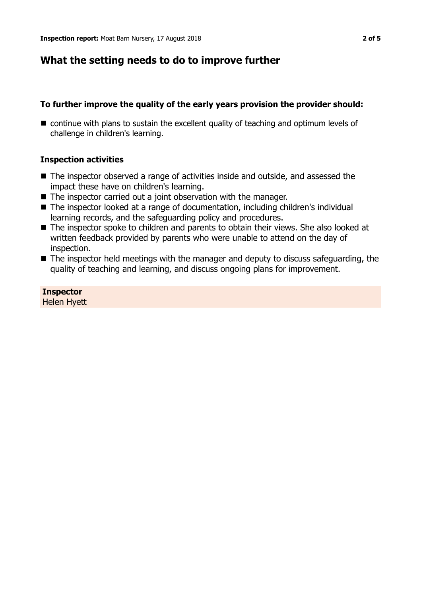## **What the setting needs to do to improve further**

## **To further improve the quality of the early years provision the provider should:**

 $\blacksquare$  continue with plans to sustain the excellent quality of teaching and optimum levels of challenge in children's learning.

## **Inspection activities**

- $\blacksquare$  The inspector observed a range of activities inside and outside, and assessed the impact these have on children's learning.
- $\blacksquare$  The inspector carried out a joint observation with the manager.
- The inspector looked at a range of documentation, including children's individual learning records, and the safeguarding policy and procedures.
- The inspector spoke to children and parents to obtain their views. She also looked at written feedback provided by parents who were unable to attend on the day of inspection.
- $\blacksquare$  The inspector held meetings with the manager and deputy to discuss safeguarding, the quality of teaching and learning, and discuss ongoing plans for improvement.

**Inspector** Helen Hyett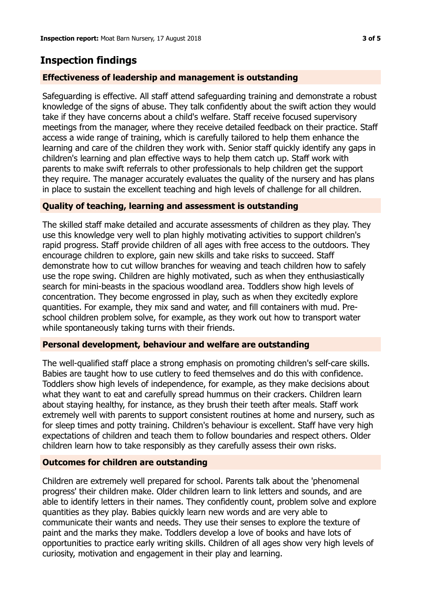## **Inspection findings**

### **Effectiveness of leadership and management is outstanding**

Safeguarding is effective. All staff attend safeguarding training and demonstrate a robust knowledge of the signs of abuse. They talk confidently about the swift action they would take if they have concerns about a child's welfare. Staff receive focused supervisory meetings from the manager, where they receive detailed feedback on their practice. Staff access a wide range of training, which is carefully tailored to help them enhance the learning and care of the children they work with. Senior staff quickly identify any gaps in children's learning and plan effective ways to help them catch up. Staff work with parents to make swift referrals to other professionals to help children get the support they require. The manager accurately evaluates the quality of the nursery and has plans in place to sustain the excellent teaching and high levels of challenge for all children.

### **Quality of teaching, learning and assessment is outstanding**

The skilled staff make detailed and accurate assessments of children as they play. They use this knowledge very well to plan highly motivating activities to support children's rapid progress. Staff provide children of all ages with free access to the outdoors. They encourage children to explore, gain new skills and take risks to succeed. Staff demonstrate how to cut willow branches for weaving and teach children how to safely use the rope swing. Children are highly motivated, such as when they enthusiastically search for mini-beasts in the spacious woodland area. Toddlers show high levels of concentration. They become engrossed in play, such as when they excitedly explore quantities. For example, they mix sand and water, and fill containers with mud. Preschool children problem solve, for example, as they work out how to transport water while spontaneously taking turns with their friends.

#### **Personal development, behaviour and welfare are outstanding**

The well-qualified staff place a strong emphasis on promoting children's self-care skills. Babies are taught how to use cutlery to feed themselves and do this with confidence. Toddlers show high levels of independence, for example, as they make decisions about what they want to eat and carefully spread hummus on their crackers. Children learn about staying healthy, for instance, as they brush their teeth after meals. Staff work extremely well with parents to support consistent routines at home and nursery, such as for sleep times and potty training. Children's behaviour is excellent. Staff have very high expectations of children and teach them to follow boundaries and respect others. Older children learn how to take responsibly as they carefully assess their own risks.

#### **Outcomes for children are outstanding**

Children are extremely well prepared for school. Parents talk about the 'phenomenal progress' their children make. Older children learn to link letters and sounds, and are able to identify letters in their names. They confidently count, problem solve and explore quantities as they play. Babies quickly learn new words and are very able to communicate their wants and needs. They use their senses to explore the texture of paint and the marks they make. Toddlers develop a love of books and have lots of opportunities to practice early writing skills. Children of all ages show very high levels of curiosity, motivation and engagement in their play and learning.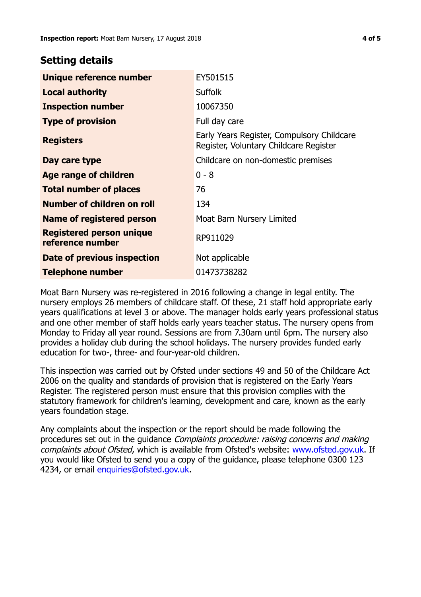## **Setting details**

| Unique reference number                             | EY501515                                                                             |  |
|-----------------------------------------------------|--------------------------------------------------------------------------------------|--|
| <b>Local authority</b>                              | <b>Suffolk</b>                                                                       |  |
| <b>Inspection number</b>                            | 10067350                                                                             |  |
| <b>Type of provision</b>                            | Full day care                                                                        |  |
| <b>Registers</b>                                    | Early Years Register, Compulsory Childcare<br>Register, Voluntary Childcare Register |  |
| Day care type                                       | Childcare on non-domestic premises                                                   |  |
| <b>Age range of children</b>                        | $0 - 8$                                                                              |  |
| <b>Total number of places</b>                       | 76                                                                                   |  |
| Number of children on roll                          | 134                                                                                  |  |
| Name of registered person                           | Moat Barn Nursery Limited                                                            |  |
| <b>Registered person unique</b><br>reference number | RP911029                                                                             |  |
| Date of previous inspection                         | Not applicable                                                                       |  |
| <b>Telephone number</b>                             | 01473738282                                                                          |  |

Moat Barn Nursery was re-registered in 2016 following a change in legal entity. The nursery employs 26 members of childcare staff. Of these, 21 staff hold appropriate early years qualifications at level 3 or above. The manager holds early years professional status and one other member of staff holds early years teacher status. The nursery opens from Monday to Friday all year round. Sessions are from 7.30am until 6pm. The nursery also provides a holiday club during the school holidays. The nursery provides funded early education for two-, three- and four-year-old children.

This inspection was carried out by Ofsted under sections 49 and 50 of the Childcare Act 2006 on the quality and standards of provision that is registered on the Early Years Register. The registered person must ensure that this provision complies with the statutory framework for children's learning, development and care, known as the early years foundation stage.

Any complaints about the inspection or the report should be made following the procedures set out in the guidance Complaints procedure: raising concerns and making complaints about Ofsted, which is available from Ofsted's website: www.ofsted.gov.uk. If you would like Ofsted to send you a copy of the guidance, please telephone 0300 123 4234, or email [enquiries@ofsted.gov.uk.](mailto:enquiries@ofsted.gov.uk)